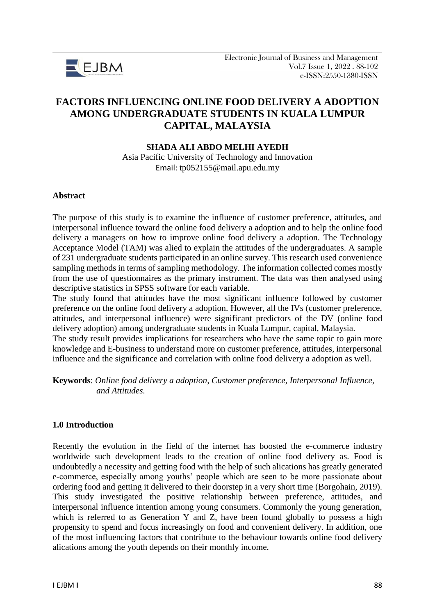

# **FACTORS INFLUENCING ONLINE FOOD DELIVERY A ADOPTION AMONG UNDERGRADUATE STUDENTS IN KUALA LUMPUR CAPITAL, MALAYSIA**

#### **SHADA ALI ABDO MELHI AYEDH**

Asia Pacific University of Technology and Innovation Email: tp052155@mail.apu.edu.my

#### **Abstract**

The purpose of this study is to examine the influence of customer preference, attitudes, and interpersonal influence toward the online food delivery a adoption and to help the online food delivery a managers on how to improve online food delivery a adoption. The Technology Acceptance Model (TAM) was alied to explain the attitudes of the undergraduates. A sample of 231 undergraduate students participated in an online survey. This research used convenience sampling methods in terms of sampling methodology. The information collected comes mostly from the use of questionnaires as the primary instrument. The data was then analysed using descriptive statistics in SPSS software for each variable.

The study found that attitudes have the most significant influence followed by customer preference on the online food delivery a adoption. However, all the IVs (customer preference, attitudes, and interpersonal influence) were significant predictors of the DV (online food delivery adoption) among undergraduate students in Kuala Lumpur, capital, Malaysia.

The study result provides implications for researchers who have the same topic to gain more knowledge and E-business to understand more on customer preference, attitudes, interpersonal influence and the significance and correlation with online food delivery a adoption as well.

**Keywords**: *Online food delivery a adoption, Customer preference, Interpersonal Influence, and Attitudes.* 

#### **1.0 Introduction**

Recently the evolution in the field of the internet has boosted the e-commerce industry worldwide such development leads to the creation of online food delivery as. Food is undoubtedly a necessity and getting food with the help of such alications has greatly generated e-commerce, especially among youths' people which are seen to be more passionate about ordering food and getting it delivered to their doorstep in a very short time (Borgohain, 2019). This study investigated the positive relationship between preference, attitudes, and interpersonal influence intention among young consumers. Commonly the young generation, which is referred to as Generation Y and Z, have been found globally to possess a high propensity to spend and focus increasingly on food and convenient delivery. In addition, one of the most influencing factors that contribute to the behaviour towards online food delivery alications among the youth depends on their monthly income.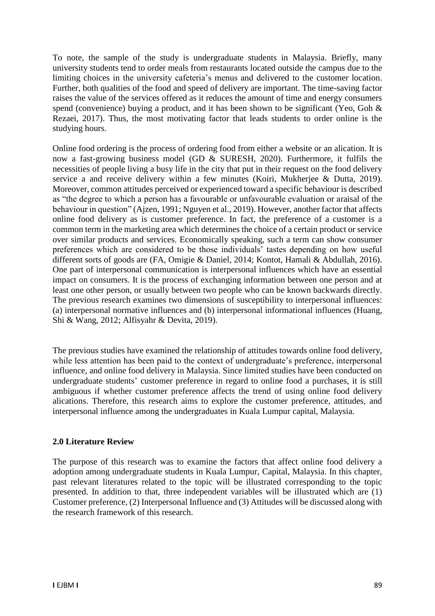To note, the sample of the study is undergraduate students in Malaysia. Briefly, many university students tend to order meals from restaurants located outside the campus due to the limiting choices in the university cafeteria's menus and delivered to the customer location. Further, both qualities of the food and speed of delivery are important. The time-saving factor raises the value of the services offered as it reduces the amount of time and energy consumers spend (convenience) buying a product, and it has been shown to be significant (Yeo, Goh & Rezaei, 2017). Thus, the most motivating factor that leads students to order online is the studying hours.

Online food ordering is the process of ordering food from either a website or an alication. It is now a fast-growing business model (GD & SURESH, 2020). Furthermore, it fulfils the necessities of people living a busy life in the city that put in their request on the food delivery service a and receive delivery within a few minutes (Koiri, Mukherjee & Dutta, 2019). Moreover, common attitudes perceived or experienced toward a specific behaviour is described as "the degree to which a person has a favourable or unfavourable evaluation or araisal of the behaviour in question" (Ajzen, 1991; Nguyen et al., 2019). However, another factor that affects online food delivery as is customer preference. In fact, the preference of a customer is a common term in the marketing area which determines the choice of a certain product or service over similar products and services. Economically speaking, such a term can show consumer preferences which are considered to be those individuals' tastes depending on how useful different sorts of goods are (FA, Omigie & Daniel, 2014; Kontot, Hamali & Abdullah, 2016). One part of interpersonal communication is interpersonal influences which have an essential impact on consumers. It is the process of exchanging information between one person and at least one other person, or usually between two people who can be known backwards directly. The previous research examines two dimensions of susceptibility to interpersonal influences: (a) interpersonal normative influences and (b) interpersonal informational influences (Huang, Shi & Wang, 2012; Alfisyahr & Devita, 2019).

The previous studies have examined the relationship of attitudes towards online food delivery, while less attention has been paid to the context of undergraduate's preference, interpersonal influence, and online food delivery in Malaysia. Since limited studies have been conducted on undergraduate students' customer preference in regard to online food a purchases, it is still ambiguous if whether customer preference affects the trend of using online food delivery alications. Therefore, this research aims to explore the customer preference, attitudes, and interpersonal influence among the undergraduates in Kuala Lumpur capital, Malaysia.

### **2.0 Literature Review**

The purpose of this research was to examine the factors that affect online food delivery a adoption among undergraduate students in Kuala Lumpur, Capital, Malaysia. In this chapter, past relevant literatures related to the topic will be illustrated corresponding to the topic presented. In addition to that, three independent variables will be illustrated which are (1) Customer preference, (2) Interpersonal Influence and (3) Attitudes will be discussed along with the research framework of this research.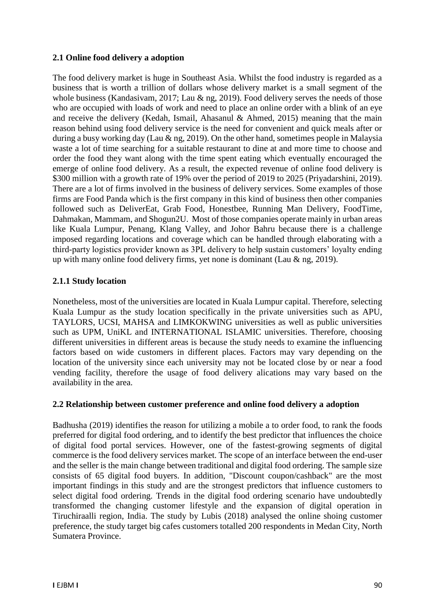### **2.1 Online food delivery a adoption**

The food delivery market is huge in Southeast Asia. Whilst the food industry is regarded as a business that is worth a trillion of dollars whose delivery market is a small segment of the whole business (Kandasivam, 2017; Lau & ng, 2019). Food delivery serves the needs of those who are occupied with loads of work and need to place an online order with a blink of an eye and receive the delivery (Kedah, Ismail, Ahasanul & Ahmed, 2015) meaning that the main reason behind using food delivery service is the need for convenient and quick meals after or during a busy working day (Lau & ng, 2019). On the other hand, sometimes people in Malaysia waste a lot of time searching for a suitable restaurant to dine at and more time to choose and order the food they want along with the time spent eating which eventually encouraged the emerge of online food delivery. As a result, the expected revenue of online food delivery is \$300 million with a growth rate of 19% over the period of 2019 to 2025 (Privadarshini, 2019). There are a lot of firms involved in the business of delivery services. Some examples of those firms are Food Panda which is the first company in this kind of business then other companies followed such as DeliverEat, Grab Food, Honestbee, Running Man Delivery, FoodTime, Dahmakan, Mammam, and Shogun2U. Most of those companies operate mainly in urban areas like Kuala Lumpur, Penang, Klang Valley, and Johor Bahru because there is a challenge imposed regarding locations and coverage which can be handled through elaborating with a third-party logistics provider known as 3PL delivery to help sustain customers' loyalty ending up with many online food delivery firms, yet none is dominant (Lau & ng, 2019).

### **2.1.1 Study location**

Nonetheless, most of the universities are located in Kuala Lumpur capital. Therefore, selecting Kuala Lumpur as the study location specifically in the private universities such as APU, TAYLORS, UCSI, MAHSA and LIMKOKWING universities as well as public universities such as UPM, UniKL and INTERNATIONAL ISLAMIC universities. Therefore, choosing different universities in different areas is because the study needs to examine the influencing factors based on wide customers in different places. Factors may vary depending on the location of the university since each university may not be located close by or near a food vending facility, therefore the usage of food delivery alications may vary based on the availability in the area.

#### **2.2 Relationship between customer preference and online food delivery a adoption**

Badhusha (2019) identifies the reason for utilizing a mobile a to order food, to rank the foods preferred for digital food ordering, and to identify the best predictor that influences the choice of digital food portal services. However, one of the fastest-growing segments of digital commerce is the food delivery services market. The scope of an interface between the end-user and the seller is the main change between traditional and digital food ordering. The sample size consists of 65 digital food buyers. In addition, "Discount coupon/cashback" are the most important findings in this study and are the strongest predictors that influence customers to select digital food ordering. Trends in the digital food ordering scenario have undoubtedly transformed the changing customer lifestyle and the expansion of digital operation in Tiruchiraalli region, India. The study by Lubis (2018) analysed the online shoing customer preference, the study target big cafes customers totalled 200 respondents in Medan City, North Sumatera Province.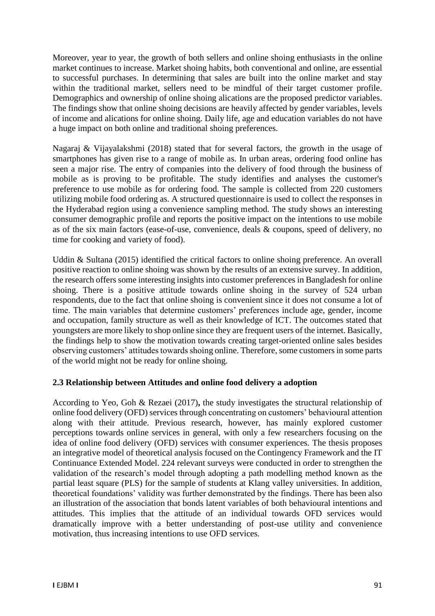Moreover, year to year, the growth of both sellers and online shoing enthusiasts in the online market continues to increase. Market shoing habits, both conventional and online, are essential to successful purchases. In determining that sales are built into the online market and stay within the traditional market, sellers need to be mindful of their target customer profile. Demographics and ownership of online shoing alications are the proposed predictor variables. The findings show that online shoing decisions are heavily affected by gender variables, levels of income and alications for online shoing. Daily life, age and education variables do not have a huge impact on both online and traditional shoing preferences.

Nagaraj & Vijayalakshmi (2018) stated that for several factors, the growth in the usage of smartphones has given rise to a range of mobile as. In urban areas, ordering food online has seen a major rise. The entry of companies into the delivery of food through the business of mobile as is proving to be profitable. The study identifies and analyses the customer's preference to use mobile as for ordering food. The sample is collected from 220 customers utilizing mobile food ordering as. A structured questionnaire is used to collect the responses in the Hyderabad region using a convenience sampling method. The study shows an interesting consumer demographic profile and reports the positive impact on the intentions to use mobile as of the six main factors (ease-of-use, convenience, deals & coupons, speed of delivery, no time for cooking and variety of food).

Uddin & Sultana (2015) identified the critical factors to online shoing preference. An overall positive reaction to online shoing was shown by the results of an extensive survey. In addition, the research offers some interesting insights into customer preferences in Bangladesh for online shoing. There is a positive attitude towards online shoing in the survey of 524 urban respondents, due to the fact that online shoing is convenient since it does not consume a lot of time. The main variables that determine customers' preferences include age, gender, income and occupation, family structure as well as their knowledge of ICT. The outcomes stated that youngsters are more likely to shop online since they are frequent users of the internet. Basically, the findings help to show the motivation towards creating target-oriented online sales besides observing customers' attitudes towards shoing online. Therefore, some customers in some parts of the world might not be ready for online shoing.

### **2.3 Relationship between Attitudes and online food delivery a adoption**

According to Yeo, Goh & Rezaei (2017)**,** the study investigates the structural relationship of online food delivery (OFD) services through concentrating on customers' behavioural attention along with their attitude. Previous research, however, has mainly explored customer perceptions towards online services in general, with only a few researchers focusing on the idea of online food delivery (OFD) services with consumer experiences. The thesis proposes an integrative model of theoretical analysis focused on the Contingency Framework and the IT Continuance Extended Model. 224 relevant surveys were conducted in order to strengthen the validation of the research's model through adopting a path modelling method known as the partial least square (PLS) for the sample of students at Klang valley universities. In addition, theoretical foundations' validity was further demonstrated by the findings. There has been also an illustration of the association that bonds latent variables of both behavioural intentions and attitudes. This implies that the attitude of an individual towards OFD services would dramatically improve with a better understanding of post-use utility and convenience motivation, thus increasing intentions to use OFD services.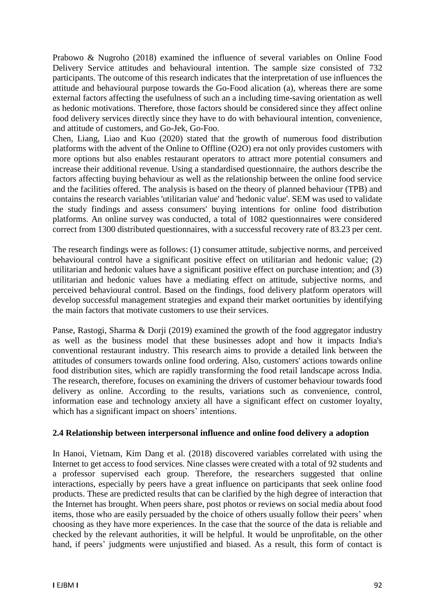Prabowo & Nugroho (2018) examined the influence of several variables on Online Food Delivery Service attitudes and behavioural intention. The sample size consisted of 732 participants. The outcome of this research indicates that the interpretation of use influences the attitude and behavioural purpose towards the Go-Food alication (a), whereas there are some external factors affecting the usefulness of such an a including time-saving orientation as well as hedonic motivations. Therefore, those factors should be considered since they affect online food delivery services directly since they have to do with behavioural intention, convenience, and attitude of customers, and Go-Jek, Go-Foo.

Chen, Liang, Liao and Kuo (2020) stated that the growth of numerous food distribution platforms with the advent of the Online to Offline (O2O) era not only provides customers with more options but also enables restaurant operators to attract more potential consumers and increase their additional revenue. Using a standardised questionnaire, the authors describe the factors affecting buying behaviour as well as the relationship between the online food service and the facilities offered. The analysis is based on the theory of planned behaviour (TPB) and contains the research variables 'utilitarian value' and 'hedonic value'. SEM was used to validate the study findings and assess consumers' buying intentions for online food distribution platforms. An online survey was conducted, a total of 1082 questionnaires were considered correct from 1300 distributed questionnaires, with a successful recovery rate of 83.23 per cent.

The research findings were as follows: (1) consumer attitude, subjective norms, and perceived behavioural control have a significant positive effect on utilitarian and hedonic value; (2) utilitarian and hedonic values have a significant positive effect on purchase intention; and (3) utilitarian and hedonic values have a mediating effect on attitude, subjective norms, and perceived behavioural control. Based on the findings, food delivery platform operators will develop successful management strategies and expand their market oortunities by identifying the main factors that motivate customers to use their services.

Panse, Rastogi, Sharma & Dorji (2019) examined the growth of the food aggregator industry as well as the business model that these businesses adopt and how it impacts India's conventional restaurant industry. This research aims to provide a detailed link between the attitudes of consumers towards online food ordering. Also, customers' actions towards online food distribution sites, which are rapidly transforming the food retail landscape across India. The research, therefore, focuses on examining the drivers of customer behaviour towards food delivery as online. According to the results, variations such as convenience, control, information ease and technology anxiety all have a significant effect on customer loyalty, which has a significant impact on shoers' intentions.

#### **2.4 Relationship between interpersonal influence and online food delivery a adoption**

In Hanoi, Vietnam, Kim Dang et al. (2018) discovered variables correlated with using the Internet to get access to food services. Nine classes were created with a total of 92 students and a professor supervised each group. Therefore, the researchers suggested that online interactions, especially by peers have a great influence on participants that seek online food products. These are predicted results that can be clarified by the high degree of interaction that the Internet has brought. When peers share, post photos or reviews on social media about food items, those who are easily persuaded by the choice of others usually follow their peers' when choosing as they have more experiences. In the case that the source of the data is reliable and checked by the relevant authorities, it will be helpful. It would be unprofitable, on the other hand, if peers' judgments were unjustified and biased. As a result, this form of contact is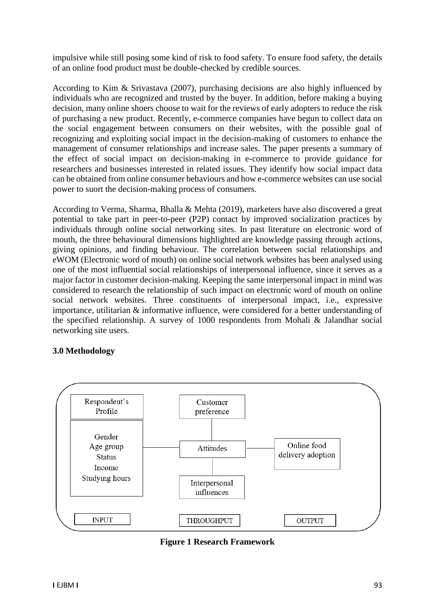impulsive while still posing some kind of risk to food safety. To ensure food safety, the details of an online food product must be double-checked by credible sources.

According to Kim & Srivastava (2007), purchasing decisions are also highly influenced by individuals who are recognized and trusted by the buyer. In addition, before making a buying decision, many online shoers choose to wait for the reviews of early adopters to reduce the risk of purchasing a new product. Recently, e-commerce companies have begun to collect data on the social engagement between consumers on their websites, with the possible goal of recognizing and exploiting social impact in the decision-making of customers to enhance the management of consumer relationships and increase sales. The paper presents a summary of the effect of social impact on decision-making in e-commerce to provide guidance for researchers and businesses interested in related issues. They identify how social impact data can be obtained from online consumer behaviours and how e-commerce websites can use social power to suort the decision-making process of consumers.

According to Verma, Sharma, Bhalla & Mehta (2019), marketers have also discovered a great potential to take part in peer-to-peer (P2P) contact by improved socialization practices by individuals through online social networking sites. In past literature on electronic word of mouth, the three behavioural dimensions highlighted are knowledge passing through actions, giving opinions, and finding behaviour. The correlation between social relationships and eWOM (Electronic word of mouth) on online social network websites has been analysed using one of the most influential social relationships of interpersonal influence, since it serves as a major factor in customer decision-making. Keeping the same interpersonal impact in mind was considered to research the relationship of such impact on electronic word of mouth on online social network websites. Three constituents of interpersonal impact, i.e., expressive importance, utilitarian & informative influence, were considered for a better understanding of the specified relationship. A survey of 1000 respondents from Mohali & Jalandhar social networking site users.

### **3.0 Methodology**



**Figure 1 Research Framework**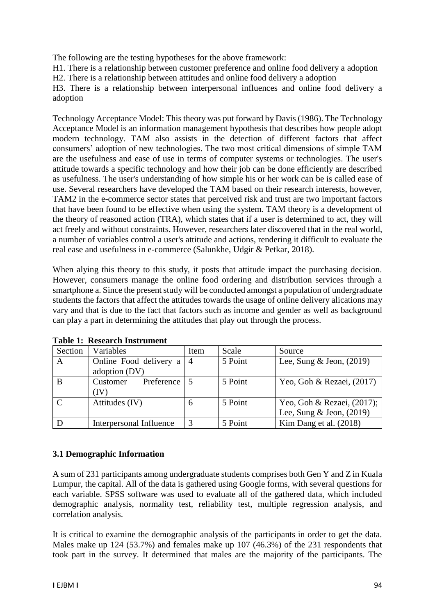The following are the testing hypotheses for the above framework:

H1. There is a relationship between customer preference and online food delivery a adoption

H2. There is a relationship between attitudes and online food delivery a adoption

H3. There is a relationship between interpersonal influences and online food delivery a adoption

Technology Acceptance Model: This theory was put forward by Davis (1986). The Technology Acceptance Model is an information management hypothesis that describes how people adopt modern technology. TAM also assists in the detection of different factors that affect consumers' adoption of new technologies. The two most critical dimensions of simple TAM are the usefulness and ease of use in terms of computer systems or technologies. The user's attitude towards a specific technology and how their job can be done efficiently are described as usefulness. The user's understanding of how simple his or her work can be is called ease of use. Several researchers have developed the TAM based on their research interests, however, TAM2 in the e-commerce sector states that perceived risk and trust are two important factors that have been found to be effective when using the system. TAM theory is a development of the theory of reasoned action (TRA), which states that if a user is determined to act, they will act freely and without constraints. However, researchers later discovered that in the real world, a number of variables control a user's attitude and actions, rendering it difficult to evaluate the real ease and usefulness in e-commerce (Salunkhe, Udgir & Petkar, 2018).

When alying this theory to this study, it posts that attitude impact the purchasing decision. However, consumers manage the online food ordering and distribution services through a smartphone a. Since the present study will be conducted amongst a population of undergraduate students the factors that affect the attitudes towards the usage of online delivery alications may vary and that is due to the fact that factors such as income and gender as well as background can play a part in determining the attitudes that play out through the process.

| Section      | Variables               | Item      | Scale   | Source                      |
|--------------|-------------------------|-----------|---------|-----------------------------|
| A            | Online Food delivery a  | $\vert 4$ | 5 Point | Lee, Sung $\&$ Jeon, (2019) |
|              | adoption (DV)           |           |         |                             |
| B            | Preference<br>Customer  |           | 5 Point | Yeo, Goh & Rezaei, $(2017)$ |
|              | (IV)                    |           |         |                             |
| $\mathbf{C}$ | Attitudes (IV)          | 6         | 5 Point | Yeo, Goh & Rezaei, (2017);  |
|              |                         |           |         | Lee, Sung & Jeon, $(2019)$  |
|              | Interpersonal Influence |           | 5 Point | Kim Dang et al. $(2018)$    |

**Table 1: Research Instrument**

### **3.1 Demographic Information**

A sum of 231 participants among undergraduate students comprises both Gen Y and Z in Kuala Lumpur, the capital. All of the data is gathered using Google forms, with several questions for each variable. SPSS software was used to evaluate all of the gathered data, which included demographic analysis, normality test, reliability test, multiple regression analysis, and correlation analysis.

It is critical to examine the demographic analysis of the participants in order to get the data. Males make up 124 (53.7%) and females make up 107 (46.3%) of the 231 respondents that took part in the survey. It determined that males are the majority of the participants. The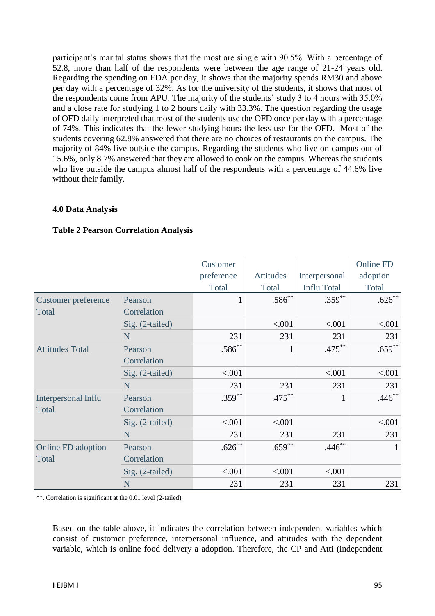participant's marital status shows that the most are single with 90.5%. With a percentage of 52.8, more than half of the respondents were between the age range of 21-24 years old. Regarding the spending on FDA per day, it shows that the majority spends RM30 and above per day with a percentage of 32%. As for the university of the students, it shows that most of the respondents come from APU. The majority of the students' study 3 to 4 hours with 35.0% and a close rate for studying 1 to 2 hours daily with 33.3%. The question regarding the usage of OFD daily interpreted that most of the students use the OFD once per day with a percentage of 74%. This indicates that the fewer studying hours the less use for the OFD. Most of the students covering 62.8% answered that there are no choices of restaurants on the campus. The majority of 84% live outside the campus. Regarding the students who live on campus out of 15.6%, only 8.7% answered that they are allowed to cook on the campus. Whereas the students who live outside the campus almost half of the respondents with a percentage of 44.6% live without their family.

### **4.0 Data Analysis**

|                            |                   | Customer     |              |                    | <b>Online FD</b> |
|----------------------------|-------------------|--------------|--------------|--------------------|------------------|
|                            |                   | preference   | Attitudes    | Interpersonal      | adoption         |
|                            |                   | Total        | Total        | <b>Influ Total</b> | Total            |
| <b>Customer preference</b> | Pearson           | $\mathbf{1}$ | $.586^{**}$  | $.359***$          | $.626**$         |
| Total                      | Correlation       |              |              |                    |                  |
|                            | Sig. (2-tailed)   |              | < .001       | < .001             | < .001           |
|                            | N                 | 231          | 231          | 231                | 231              |
| <b>Attitudes Total</b>     | Pearson           | $.586^{**}$  | $\mathbf{1}$ | $.475***$          | $.659***$        |
|                            | Correlation       |              |              |                    |                  |
|                            | $Sig. (2-tailed)$ | < .001       |              | < .001             | < .001           |
|                            | N                 | 231          | 231          | 231                | 231              |
| Interpersonal Influ        | Pearson           | $.359***$    | $.475***$    | $\mathbf{1}$       | $.446**$         |
| Total                      | Correlation       |              |              |                    |                  |
|                            | $Sig. (2-tailed)$ | < .001       | < .001       |                    | < .001           |
|                            | N                 | 231          | 231          | 231                | 231              |
| Online FD adoption         | Pearson           | $.626**$     | $.659**$     | $.446**$           | 1                |
| Total                      | Correlation       |              |              |                    |                  |
|                            | $Sig. (2-tailed)$ | < .001       | < .001       | < .001             |                  |
|                            | N                 | 231          | 231          | 231                | 231              |

### **Table 2 Pearson Correlation Analysis**

\*\*. Correlation is significant at the 0.01 level (2-tailed).

Based on the table above, it indicates the correlation between independent variables which consist of customer preference, interpersonal influence, and attitudes with the dependent variable, which is online food delivery a adoption. Therefore, the CP and Atti (independent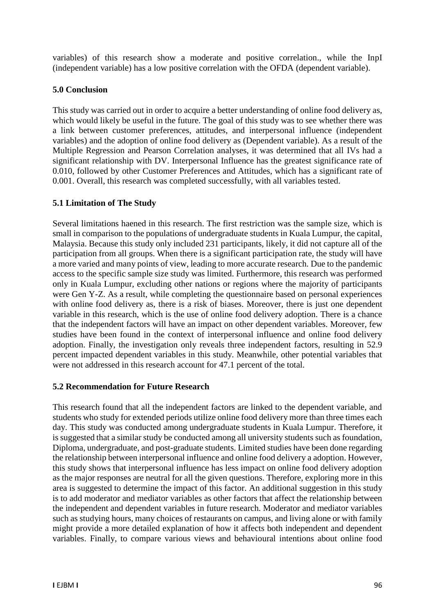variables) of this research show a moderate and positive correlation., while the InpI (independent variable) has a low positive correlation with the OFDA (dependent variable).

## **5.0 Conclusion**

This study was carried out in order to acquire a better understanding of online food delivery as, which would likely be useful in the future. The goal of this study was to see whether there was a link between customer preferences, attitudes, and interpersonal influence (independent variables) and the adoption of online food delivery as (Dependent variable). As a result of the Multiple Regression and Pearson Correlation analyses, it was determined that all IVs had a significant relationship with DV. Interpersonal Influence has the greatest significance rate of 0.010, followed by other Customer Preferences and Attitudes, which has a significant rate of 0.001. Overall, this research was completed successfully, with all variables tested.

# **5.1 Limitation of The Study**

Several limitations haened in this research. The first restriction was the sample size, which is small in comparison to the populations of undergraduate students in Kuala Lumpur, the capital, Malaysia. Because this study only included 231 participants, likely, it did not capture all of the participation from all groups. When there is a significant participation rate, the study will have a more varied and many points of view, leading to more accurate research. Due to the pandemic access to the specific sample size study was limited. Furthermore, this research was performed only in Kuala Lumpur, excluding other nations or regions where the majority of participants were Gen Y-Z. As a result, while completing the questionnaire based on personal experiences with online food delivery as, there is a risk of biases. Moreover, there is just one dependent variable in this research, which is the use of online food delivery adoption. There is a chance that the independent factors will have an impact on other dependent variables. Moreover, few studies have been found in the context of interpersonal influence and online food delivery adoption. Finally, the investigation only reveals three independent factors, resulting in 52.9 percent impacted dependent variables in this study. Meanwhile, other potential variables that were not addressed in this research account for 47.1 percent of the total.

### **5.2 Recommendation for Future Research**

This research found that all the independent factors are linked to the dependent variable, and students who study for extended periods utilize online food delivery more than three times each day. This study was conducted among undergraduate students in Kuala Lumpur. Therefore, it is suggested that a similar study be conducted among all university students such as foundation, Diploma, undergraduate, and post-graduate students. Limited studies have been done regarding the relationship between interpersonal influence and online food delivery a adoption. However, this study shows that interpersonal influence has less impact on online food delivery adoption as the major responses are neutral for all the given questions. Therefore, exploring more in this area is suggested to determine the impact of this factor. An additional suggestion in this study is to add moderator and mediator variables as other factors that affect the relationship between the independent and dependent variables in future research. Moderator and mediator variables such as studying hours, many choices of restaurants on campus, and living alone or with family might provide a more detailed explanation of how it affects both independent and dependent variables. Finally, to compare various views and behavioural intentions about online food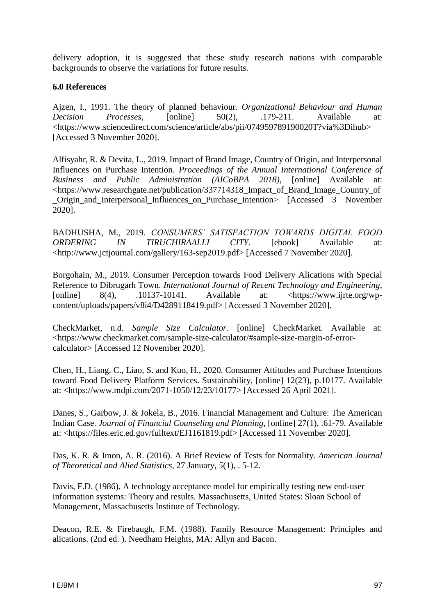delivery adoption, it is suggested that these study research nations with comparable backgrounds to observe the variations for future results.

#### **6.0 References**

Ajzen, I., 1991. The theory of planned behaviour. *Organizational Behaviour and Human Decision Processes*, [online] 50(2), .179-211. Available at: <https://www.sciencedirect.com/science/article/abs/pii/074959789190020T?via%3Dihub> [Accessed 3 November 2020].

Alfisyahr, R. & Devita, L., 2019. Impact of Brand Image, Country of Origin, and Interpersonal Influences on Purchase Intention. *Proceedings of the Annual International Conference of Business and Public Administration (AICoBPA 2018)*, [online] Available at: <https://www.researchgate.net/publication/337714318\_Impact\_of\_Brand\_Image\_Country\_of \_Origin\_and\_Interpersonal\_Influences\_on\_Purchase\_Intention> [Accessed 3 November 2020].

BADHUSHA, M., 2019. *CONSUMERS' SATISFACTION TOWARDS DIGITAL FOOD ORDERING IN TIRUCHIRAALLI CITY*. [ebook] Available at: <http://www.jctjournal.com/gallery/163-sep2019.pdf> [Accessed 7 November 2020].

Borgohain, M., 2019. Consumer Perception towards Food Delivery Alications with Special Reference to Dibrugarh Town. *International Journal of Recent Technology and Engineering*, [online]  $8(4)$ , .10137-10141. Available at: <https://www.ijrte.org/wpcontent/uploads/papers/v8i4/D4289118419.pdf> [Accessed 3 November 2020].

CheckMarket, n.d. *Sample Size Calculator*. [online] CheckMarket. Available at: <https://www.checkmarket.com/sample-size-calculator/#sample-size-margin-of-errorcalculator> [Accessed 12 November 2020].

Chen, H., Liang, C., Liao, S. and Kuo, H., 2020. Consumer Attitudes and Purchase Intentions toward Food Delivery Platform Services. Sustainability, [online] 12(23), p.10177. Available at: <https://www.mdpi.com/2071-1050/12/23/10177> [Accessed 26 April 2021].

Danes, S., Garbow, J. & Jokela, B., 2016. Financial Management and Culture: The American Indian Case. *Journal of Financial Counseling and Planning*, [online] 27(1), .61-79. Available at: <https://files.eric.ed.gov/fulltext/EJ1161819.pdf> [Accessed 11 November 2020].

Das, K. R. & Imon, A. R. (2016). A Brief Review of Tests for Normality. *American Journal of Theoretical and Alied Statistics,* 27 January, *5*(1), . 5-12.

Davis, F.D. (1986). A technology acceptance model for empirically testing new end-user information systems: Theory and results. Massachusetts, United States: Sloan School of Management, Massachusetts Institute of Technology.

Deacon, R.E. & Firebaugh, F.M. (1988). Family Resource Management: Principles and alications. (2nd ed. ). Needham Heights, MA: Allyn and Bacon.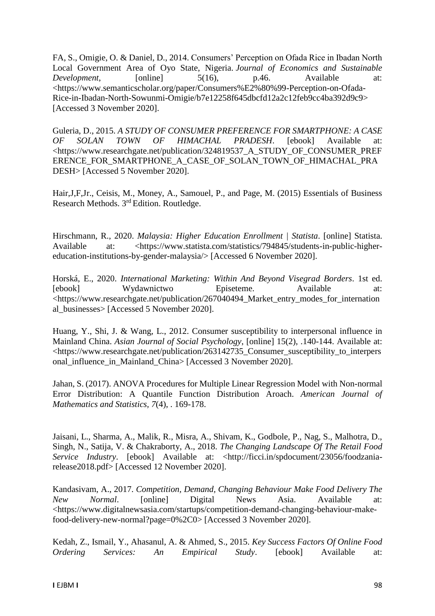FA, S., Omigie, O. & Daniel, D., 2014. Consumers' Perception on Ofada Rice in Ibadan North Local Government Area of Oyo State, Nigeria. *Journal of Economics and Sustainable Development*, [online] 5(16), p.46. Available at: <https://www.semanticscholar.org/paper/Consumers%E2%80%99-Perception-on-Ofada-Rice-in-Ibadan-North-Sowunmi-Omigie/b7e12258f645dbcfd12a2c12feb9cc4ba392d9c9> [Accessed 3 November 2020].

Guleria, D., 2015. *A STUDY OF CONSUMER PREFERENCE FOR SMARTPHONE: A CASE OF SOLAN TOWN OF HIMACHAL PRADESH*. [ebook] Available at: <https://www.researchgate.net/publication/324819537\_A\_STUDY\_OF\_CONSUMER\_PREF ERENCE\_FOR\_SMARTPHONE\_A\_CASE\_OF\_SOLAN\_TOWN\_OF\_HIMACHAL\_PRA DESH> [Accessed 5 November 2020].

Hair,J,F,Jr., Ceisis, M., Money, A., Samouel, P., and Page, M. (2015) Essentials of Business Research Methods. 3rd Edition. Routledge.

Hirschmann, R., 2020. *Malaysia: Higher Education Enrollment | Statista*. [online] Statista. Available at: <https://www.statista.com/statistics/794845/students-in-public-highereducation-institutions-by-gender-malaysia/> [Accessed 6 November 2020].

Horská, E., 2020. *International Marketing: Within And Beyond Visegrad Borders*. 1st ed. [ebook] Wydawnictwo Episeteme. Available at: <https://www.researchgate.net/publication/267040494\_Market\_entry\_modes\_for\_internation al\_businesses> [Accessed 5 November 2020].

Huang, Y., Shi, J. & Wang, L., 2012. Consumer susceptibility to interpersonal influence in Mainland China. *Asian Journal of Social Psychology*, [online] 15(2), .140-144. Available at: <https://www.researchgate.net/publication/263142735\_Consumer\_susceptibility\_to\_interpers onal\_influence\_in\_Mainland\_China> [Accessed 3 November 2020].

Jahan, S. (2017). ANOVA Procedures for Multiple Linear Regression Model with Non-normal Error Distribution: A Quantile Function Distribution Aroach. *American Journal of Mathematics and Statistics, 7*(4), . 169-178.

Jaisani, L., Sharma, A., Malik, R., Misra, A., Shivam, K., Godbole, P., Nag, S., Malhotra, D., Singh, N., Satija, V. & Chakraborty, A., 2018. *The Changing Landscape Of The Retail Food Service Industry.* [ebook] Available at: <http://ficci.in/spdocument/23056/foodzaniarelease2018.pdf> [Accessed 12 November 2020].

Kandasivam, A., 2017. *Competition, Demand, Changing Behaviour Make Food Delivery The New Normal*. [online] Digital News Asia. Available at: <https://www.digitalnewsasia.com/startups/competition-demand-changing-behaviour-makefood-delivery-new-normal?page=0%2C0> [Accessed 3 November 2020].

Kedah, Z., Ismail, Y., Ahasanul, A. & Ahmed, S., 2015. *Key Success Factors Of Online Food Ordering Services: An Empirical Study*. [ebook] Available at: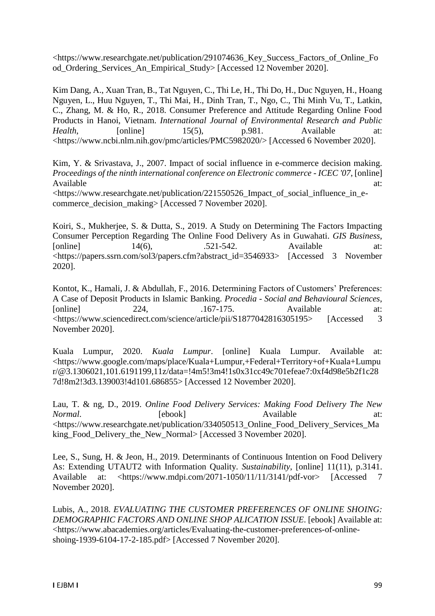<https://www.researchgate.net/publication/291074636\_Key\_Success\_Factors\_of\_Online\_Fo od\_Ordering\_Services\_An\_Empirical\_Study> [Accessed 12 November 2020].

Kim Dang, A., Xuan Tran, B., Tat Nguyen, C., Thi Le, H., Thi Do, H., Duc Nguyen, H., Hoang Nguyen, L., Huu Nguyen, T., Thi Mai, H., Dinh Tran, T., Ngo, C., Thi Minh Vu, T., Latkin, C., Zhang, M. & Ho, R., 2018. Consumer Preference and Attitude Regarding Online Food Products in Hanoi, Vietnam. *International Journal of Environmental Research and Public Health*, [online] 15(5), p.981. Available at: <https://www.ncbi.nlm.nih.gov/pmc/articles/PMC5982020/> [Accessed 6 November 2020].

Kim, Y. & Srivastava, J., 2007. Impact of social influence in e-commerce decision making. *Proceedings of the ninth international conference on Electronic commerce - ICEC '07*, [online] Available at:  $\overline{a}$  at: <https://www.researchgate.net/publication/221550526\_Impact\_of\_social\_influence\_in\_ecommerce\_decision\_making> [Accessed 7 November 2020].

Koiri, S., Mukherjee, S. & Dutta, S., 2019. A Study on Determining The Factors Impacting Consumer Perception Regarding The Online Food Delivery As in Guwahati. *GIS Business*, [online]  $14(6)$ ,  $.521-542$ . Available at: <https://papers.ssrn.com/sol3/papers.cfm?abstract\_id=3546933> [Accessed 3 November 2020].

Kontot, K., Hamali, J. & Abdullah, F., 2016. Determining Factors of Customers' Preferences: A Case of Deposit Products in Islamic Banking. *Procedia - Social and Behavioural Sciences*, [online] 224, .167-175. Available at: <https://www.sciencedirect.com/science/article/pii/S1877042816305195> [Accessed 3 November 2020].

Kuala Lumpur, 2020. *Kuala Lumpur*. [online] Kuala Lumpur. Available at: <https://www.google.com/maps/place/Kuala+Lumpur,+Federal+Territory+of+Kuala+Lumpu r/@3.1306021,101.6191199,11z/data=!4m5!3m4!1s0x31cc49c701efeae7:0xf4d98e5b2f1c28 7d!8m2!3d3.139003!4d101.686855> [Accessed 12 November 2020].

Lau, T. & ng, D., 2019. *Online Food Delivery Services: Making Food Delivery The New Normal*. **Example 1** [ebook] **Available** at: <https://www.researchgate.net/publication/334050513\_Online\_Food\_Delivery\_Services\_Ma king\_Food\_Delivery\_the\_New\_Normal> [Accessed 3 November 2020].

Lee, S., Sung, H. & Jeon, H., 2019. Determinants of Continuous Intention on Food Delivery As: Extending UTAUT2 with Information Quality. *Sustainability*, [online] 11(11), p.3141. Available at: <https://www.mdpi.com/2071-1050/11/11/3141/pdf-vor> [Accessed 7 November 2020].

Lubis, A., 2018. *EVALUATING THE CUSTOMER PREFERENCES OF ONLINE SHOING: DEMOGRAPHIC FACTORS AND ONLINE SHOP ALICATION ISSUE*. [ebook] Available at: <https://www.abacademies.org/articles/Evaluating-the-customer-preferences-of-onlineshoing-1939-6104-17-2-185.pdf> [Accessed 7 November 2020].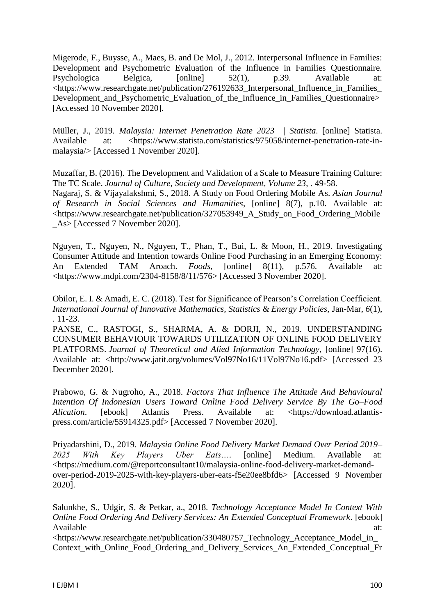Migerode, F., Buysse, A., Maes, B. and De Mol, J., 2012. Interpersonal Influence in Families: Development and Psychometric Evaluation of the Influence in Families Questionnaire. Psychologica Belgica,  $\boxed{\text{online}} = 52(1)$ , p.39. Available <https://www.researchgate.net/publication/276192633\_Interpersonal\_Influence\_in\_Families\_ Development\_and\_Psychometric\_Evaluation\_of\_the\_Influence\_in\_Families\_Questionnaire> [Accessed 10 November 2020].

Müller, J., 2019. *Malaysia: Internet Penetration Rate 2023 | Statista*. [online] Statista. Available at: <https://www.statista.com/statistics/975058/internet-penetration-rate-inmalaysia/> [Accessed 1 November 2020].

Muzaffar, B. (2016). The Development and Validation of a Scale to Measure Training Culture: The TC Scale. *Journal of Culture, Society and Development, Volume 23*, . 49-58. Nagaraj, S. & Vijayalakshmi, S., 2018. A Study on Food Ordering Mobile As. *Asian Journal of Research in Social Sciences and Humanities*, [online] 8(7), p.10. Available at: <https://www.researchgate.net/publication/327053949\_A\_Study\_on\_Food\_Ordering\_Mobile \_As> [Accessed 7 November 2020].

Nguyen, T., Nguyen, N., Nguyen, T., Phan, T., Bui, L. & Moon, H., 2019. Investigating Consumer Attitude and Intention towards Online Food Purchasing in an Emerging Economy: An Extended TAM Aroach. *Foods*, [online] 8(11), p.576. Available at: <https://www.mdpi.com/2304-8158/8/11/576> [Accessed 3 November 2020].

Obilor, E. I. & Amadi, E. C. (2018). Test for Significance of Pearson's Correlation Coefficient. *International Journal of Innovative Mathematics, Statistics & Energy Policies, Jan-Mar, 6(1),* . 11-23.

PANSE, C., RASTOGI, S., SHARMA, A. & DORJI, N., 2019. UNDERSTANDING CONSUMER BEHAVIOUR TOWARDS UTILIZATION OF ONLINE FOOD DELIVERY PLATFORMS. *Journal of Theoretical and Alied Information Technology*, [online] 97(16). Available at: <http://www.jatit.org/volumes/Vol97No16/11Vol97No16.pdf> [Accessed 23 December 2020].

Prabowo, G. & Nugroho, A., 2018. *Factors That Influence The Attitude And Behavioural Intention Of Indonesian Users Toward Online Food Delivery Service By The Go–Food Alication*. [ebook] Atlantis Press. Available at: <https://download.atlantispress.com/article/55914325.pdf> [Accessed 7 November 2020].

Priyadarshini, D., 2019. *Malaysia Online Food Delivery Market Demand Over Period 2019– 2025 With Key Players Uber Eats…*. [online] Medium. Available at: <https://medium.com/@reportconsultant10/malaysia-online-food-delivery-market-demandover-period-2019-2025-with-key-players-uber-eats-f5e20ee8bfd6> [Accessed 9 November 2020].

Salunkhe, S., Udgir, S. & Petkar, a., 2018. *Technology Acceptance Model In Context With Online Food Ordering And Delivery Services: An Extended Conceptual Framework*. [ebook] Available at:  $\overline{a}$  at:

<https://www.researchgate.net/publication/330480757\_Technology\_Acceptance\_Model\_in\_ Context\_with\_Online\_Food\_Ordering\_and\_Delivery\_Services\_An\_Extended\_Conceptual\_Fr